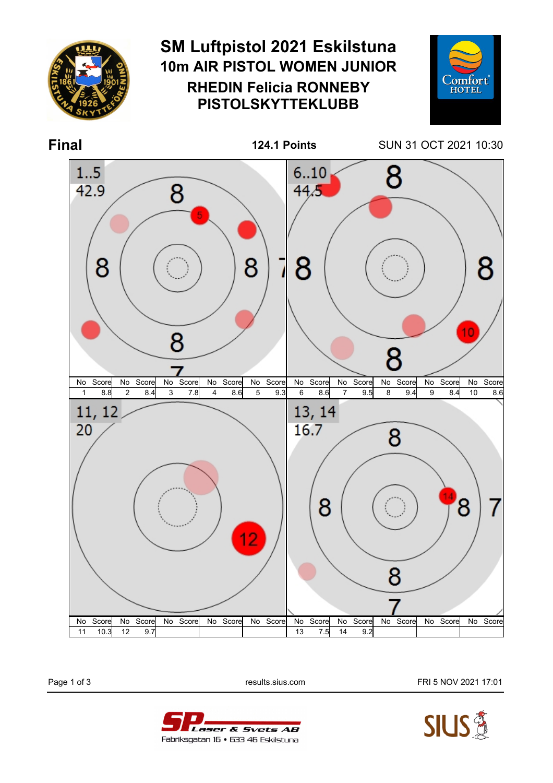

Page 1 of 3 **Page 1 of 3** results.sius.com **FRI 5 NOV 2021 17:01** 



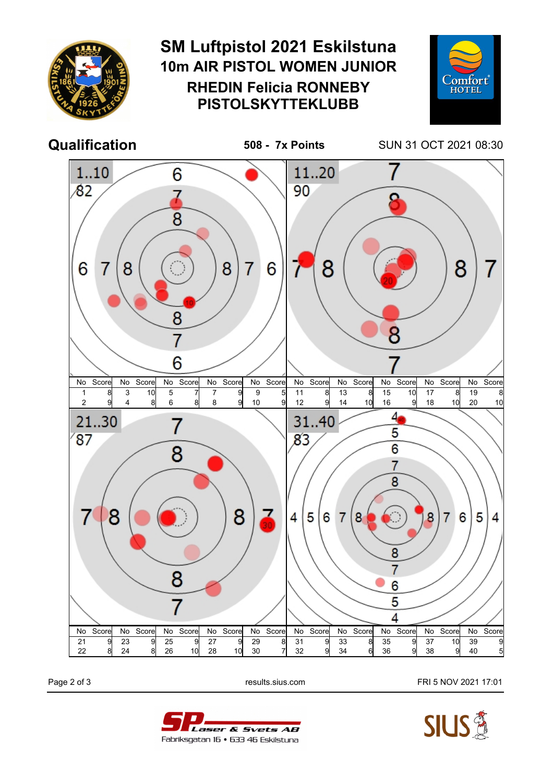

Page 2 of 3 **Page 2 of 3** results.sius.com **FRI 5 NOV 2021 17:01**